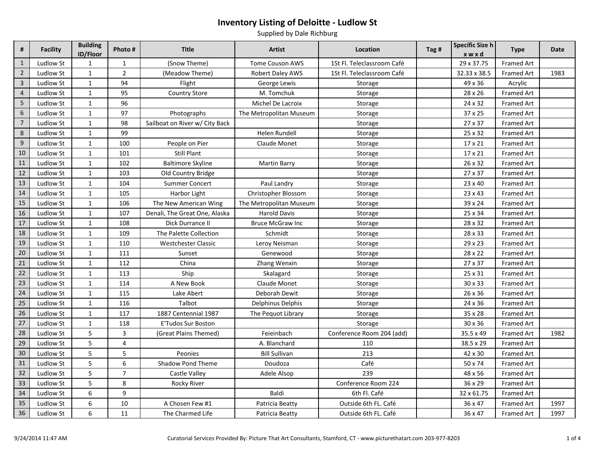| #              | <b>Facility</b>  | <b>Building</b><br>ID/Floor | Photo #        | <b>Title</b>                   | <b>Artist</b>           | Location                   | Tag # | Specific Size h<br>xwxd | <b>Type</b>       | Date |
|----------------|------------------|-----------------------------|----------------|--------------------------------|-------------------------|----------------------------|-------|-------------------------|-------------------|------|
| $\mathbf{1}$   | Ludlow St        | $\mathbf{1}$                | $\mathbf{1}$   | (Snow Theme)                   | <b>Tome Couson AWS</b>  | 1St Fl. Teleclassroom Café |       | 29 x 37.75              | <b>Framed Art</b> |      |
| $\overline{2}$ | Ludlow St        | $\mathbf{1}$                | $\overline{2}$ | (Meadow Theme)                 | <b>Robert Daley AWS</b> | 1St Fl. Teleclassroom Café |       | 32.33 x 38.5            | <b>Framed Art</b> | 1983 |
| $\overline{3}$ | Ludlow St        | $\mathbf{1}$                | 94             | Flight                         | George Lewis            | Storage                    |       | 49 x 36                 | Acrylic           |      |
| $\overline{4}$ | Ludlow St        | $\mathbf{1}$                | 95             | <b>Country Store</b>           | M. Tomchuk              | Storage                    |       | 28 x 26                 | Framed Art        |      |
| $\overline{5}$ | Ludlow St        | $\mathbf{1}$                | 96             |                                | Michel De Lacroix       | Storage                    |       | 24 x 32                 | <b>Framed Art</b> |      |
| $\sqrt{6}$     | Ludlow St        | $\mathbf{1}$                | 97             | Photographs                    | The Metropolitan Museum | Storage                    |       | 37 x 25                 | Framed Art        |      |
| $\overline{7}$ | Ludlow St        | $\mathbf{1}$                | 98             | Sailboat on River w/ City Back |                         | Storage                    |       | 27 x 37                 | Framed Art        |      |
| $\,8\,$        | Ludlow St        | $\mathbf{1}$                | 99             |                                | Helen Rundell           | Storage                    |       | 25 x 32                 | Framed Art        |      |
| $9\,$          | Ludlow St        | $\mathbf{1}$                | 100            | People on Pier                 | Claude Monet            | Storage                    |       | 17 x 21                 | Framed Art        |      |
| 10             | Ludlow St        | $\mathbf{1}$                | 101            | <b>Still Plant</b>             |                         | Storage                    |       | 17 x 21                 | Framed Art        |      |
| 11             | Ludlow St        | $\mathbf{1}$                | 102            | <b>Baltimore Skyline</b>       | Martin Barry            | Storage                    |       | 26 x 32                 | Framed Art        |      |
| 12             | Ludlow St        | $\mathbf{1}$                | 103            | Old Country Bridge             |                         | Storage                    |       | 27 x 37                 | Framed Art        |      |
| 13             | Ludlow St        | $\mathbf{1}$                | 104            | <b>Summer Concert</b>          | Paul Landry             | Storage                    |       | 23 x 40                 | Framed Art        |      |
| 14             | Ludlow St        | $\mathbf{1}$                | 105            | Harbor Light                   | Christopher Blossom     | Storage                    |       | 23 x 43                 | Framed Art        |      |
| 15             | Ludlow St        | $\mathbf{1}$                | 106            | The New American Wing          | The Metropolitan Museum | Storage                    |       | 39 x 24                 | Framed Art        |      |
| 16             | Ludlow St        | $\mathbf{1}$                | 107            | Denali, The Great One, Alaska  | <b>Harold Davis</b>     | Storage                    |       | 25 x 34                 | Framed Art        |      |
| 17             | Ludlow St        | $\mathbf{1}$                | 108            | Dick Durrance II               | <b>Bruce McGraw Inc</b> | Storage                    |       | 28 x 32                 | Framed Art        |      |
| 18             | Ludlow St        | $\mathbf{1}$                | 109            | The Palette Collection         | Schmidt                 | Storage                    |       | 28 x 33                 | Framed Art        |      |
| 19             | Ludlow St        | $\mathbf{1}$                | 110            | <b>Westchester Classic</b>     | Leroy Neisman           | Storage                    |       | 29 x 23                 | Framed Art        |      |
| 20             | Ludlow St        | $\mathbf{1}$                | 111            | Sunset                         | Genewood                | Storage                    |       | 28 x 22                 | Framed Art        |      |
| 21             | Ludlow St        | $\mathbf{1}$                | 112            | China                          | Zhang Wenxin            | Storage                    |       | 27 x 37                 | Framed Art        |      |
| 22             | Ludlow St        | $\mathbf{1}$                | 113            | Ship                           | Skalagard               | Storage                    |       | 25 x 31                 | Framed Art        |      |
| 23             | Ludlow St        | $\mathbf{1}$                | 114            | A New Book                     | Claude Monet            | Storage                    |       | 30 x 33                 | Framed Art        |      |
| 24             | Ludlow St        | $\mathbf{1}$                | 115            | Lake Abert                     | Deborah Dewit           | Storage                    |       | 26 x 36                 | Framed Art        |      |
| 25             | Ludlow St        | $\mathbf{1}$                | 116            | Talbot                         | Delphinus Delphis       | Storage                    |       | 24 x 36                 | Framed Art        |      |
| 26             | Ludlow St        | $\mathbf{1}$                | 117            | 1887 Centennial 1987           | The Pequot Library      | Storage                    |       | 35 x 28                 | Framed Art        |      |
| $27\,$         | Ludlow St        | $\mathbf{1}$                | 118            | <b>E'Tudos Sur Boston</b>      |                         | Storage                    |       | 30 x 36                 | Framed Art        |      |
| 28             | <b>Ludlow St</b> | 5                           | $\overline{3}$ | (Great Plains Themed)          | Feieinbach              | Conference Room 204 (add)  |       | 35.5 x 49               | <b>Framed Art</b> | 1982 |
| 29             | Ludlow St        | 5                           | $\overline{4}$ |                                | A. Blanchard            | 110                        |       | 38.5 x 29               | Framed Art        |      |
| 30             | Ludlow St        | 5                           | 5              | Peonies                        | <b>Bill Sullivan</b>    | 213                        |       | 42 x 30                 | Framed Art        |      |
| 31             | Ludlow St        | 5                           | 6              | Shadow Pond Theme              | Doudoza                 | Café                       |       | 50 x 74                 | Framed Art        |      |
| 32             | Ludlow St        | 5                           | $\overline{7}$ | Castle Valley                  | Adele Alsop             | 239                        |       | 48 x 56                 | Framed Art        |      |
| 33             | Ludlow St        | 5                           | 8              | Rocky River                    |                         | Conference Room 224        |       | 36 x 29                 | Framed Art        |      |
| 34             | Ludlow St        | 6                           | 9              |                                | Baldi                   | 6th Fl. Café               |       | 32 x 61.75              | Framed Art        |      |
| 35             | Ludlow St        | 6                           | 10             | A Chosen Few #1                | Patricia Beatty         | Outside 6th FL. Café       |       | 36 x 47                 | Framed Art        | 1997 |
| 36             | Ludlow St        | 6                           | 11             | The Charmed Life               | Patricia Beatty         | Outside 6th FL. Café       |       | 36 x 47                 | Framed Art        | 1997 |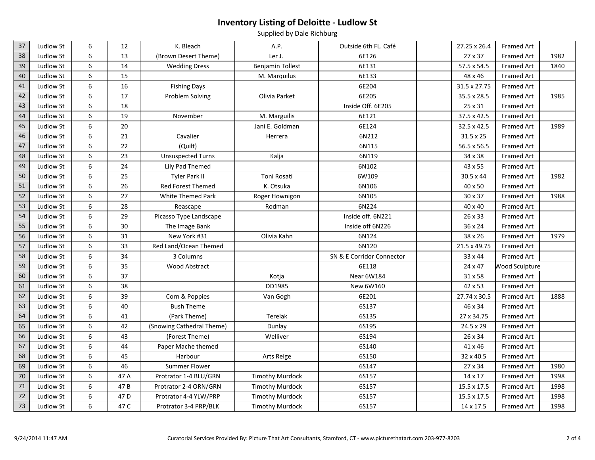| 37     | Ludlow St | 6                | 12              | K. Bleach                 | A.P.                    | Outside 6th FL. Café      | 27.25 x 26.4       | Framed Art            |      |
|--------|-----------|------------------|-----------------|---------------------------|-------------------------|---------------------------|--------------------|-----------------------|------|
| 38     | Ludlow St | 6                | 13              | (Brown Desert Theme)      | Ler J.                  | 6E126                     | 27 x 37            | Framed Art            | 1982 |
| 39     | Ludlow St | 6                | 14              | <b>Wedding Dress</b>      | <b>Benjamin Tollest</b> | 6E131                     | 57.5 x 54.5        | Framed Art            | 1840 |
| 40     | Ludlow St | 6                | 15              |                           | M. Marquilus            | 6E133                     | 48 x 46            | Framed Art            |      |
| 41     | Ludlow St | $\,6\,$          | 16              | <b>Fishing Days</b>       |                         | 6E204                     | 31.5 x 27.75       | Framed Art            |      |
| 42     | Ludlow St | $\,6\,$          | 17              | Problem Solving           | Olivia Parket           | 6E205                     | 35.5 x 28.5        | Framed Art            | 1985 |
| 43     | Ludlow St | $\,6\,$          | 18              |                           |                         | Inside Off. 6E205         | 25 x 31            | Framed Art            |      |
| 44     | Ludlow St | $\,6\,$          | 19              | November                  | M. Marguilis            | 6E121                     | 37.5 x 42.5        | Framed Art            |      |
| 45     | Ludlow St | $\boldsymbol{6}$ | 20              |                           | Jani E. Goldman         | 6E124                     | 32.5 x 42.5        | Framed Art            | 1989 |
| 46     | Ludlow St | $\,6\,$          | 21              | Cavalier                  | Herrera                 | 6N212                     | $31.5 \times 25$   | Framed Art            |      |
| 47     | Ludlow St | $\boldsymbol{6}$ | 22              | (Quilt)                   |                         | 6N115                     | 56.5 x 56.5        | Framed Art            |      |
| 48     | Ludlow St | 6                | 23              | <b>Unsuspected Turns</b>  | Kalja                   | 6N119                     | 34 x 38            | Framed Art            |      |
| 49     | Ludlow St | $\,6\,$          | 24              | Lily Pad Themed           |                         | 6N102                     | 43 x 55            | Framed Art            |      |
| 50     | Ludlow St | 6                | 25              | Tyler Park II             | Toni Rosati             | 6W109                     | $30.5 \times 44$   | Framed Art            | 1982 |
| 51     | Ludlow St | $\,6\,$          | 26              | Red Forest Themed         | K. Otsuka               | 6N106                     | 40 x 50            | Framed Art            |      |
| 52     | Ludlow St | $\,6\,$          | 27              | White Themed Park         | Roger Hownigon          | 6N105                     | 30 x 37            | Framed Art            | 1988 |
| 53     | Ludlow St | $\,6\,$          | 28              | Reascape                  | Rodman                  | 6N224                     | 40 x 40            | Framed Art            |      |
| 54     | Ludlow St | $\,6\,$          | 29              | Picasso Type Landscape    |                         | Inside off. 6N221         | 26 x 33            | Framed Art            |      |
| 55     | Ludlow St | $\,6\,$          | 30              | The Image Bank            |                         | Inside off 6N226          | 36 x 24            | Framed Art            |      |
| 56     | Ludlow St | 6                | 31              | New York #31              | Olivia Kahn             | 6N124                     | 38 x 26            | Framed Art            | 1979 |
| 57     | Ludlow St | $\,6\,$          | 33              | Red Land/Ocean Themed     |                         | 6N120                     | 21.5 x 49.75       | Framed Art            |      |
| 58     | Ludlow St | 6                | 34              | 3 Columns                 |                         | SN & E Corridor Connector | 33 x 44            | Framed Art            |      |
| 59     | Ludlow St | 6                | 35              | Wood Abstract             |                         | 6E118                     | 24 x 47            | <b>Wood Sculpture</b> |      |
| 60     | Ludlow St | 6                | 37              |                           | Kotja                   | Near 6W184                | 31 x 58            | <b>Framed Art</b>     |      |
| 61     | Ludlow St | $\,6\,$          | 38              |                           | DD1985                  | New 6W160                 | 42 x 53            | Framed Art            |      |
| 62     | Ludlow St | $\,6\,$          | 39              | Corn & Poppies            | Van Gogh                | 6E201                     | 27.74 x 30.5       | Framed Art            | 1888 |
| 63     | Ludlow St | 6                | 40              | <b>Bush Theme</b>         |                         | 6S137                     | 46 x 34            | Framed Art            |      |
| 64     | Ludlow St | $\,6\,$          | 41              | (Park Theme)              | Terelak                 | 6S135                     | 27 x 34.75         | Framed Art            |      |
| 65     | Ludlow St | $\,6\,$          | 42              | (Snowing Cathedral Theme) | Dunlay                  | 6S195                     | 24.5 x 29          | Framed Art            |      |
| 66     | Ludlow St | 6                | 43              | (Forest Theme)            | Welliver                | 6S194                     | 26 x 34            | Framed Art            |      |
| 67     | Ludlow St | $\,6\,$          | 44              | Paper Mache themed        |                         | 6S140                     | 41 x 46            | Framed Art            |      |
| 68     | Ludlow St | $\,6\,$          | 45              | Harbour                   | Arts Reige              | 6S150                     | 32 x 40.5          | Framed Art            |      |
| 69     | Ludlow St | 6                | 46              | Summer Flower             |                         | 6S147                     | 27 x 34            | Framed Art            | 1980 |
| 70     | Ludlow St | 6                | 47 A            | Protrator 1-4 BLU/GRN     | <b>Timothy Murdock</b>  | 6S157                     | 14 x 17            | Framed Art            | 1998 |
| $71\,$ | Ludlow St | $\,6\,$          | 47B             | Protrator 2-4 ORN/GRN     | <b>Timothy Murdock</b>  | 6S157                     | 15.5 x 17.5        | Framed Art            | 1998 |
| 72     | Ludlow St | 6                | 47 <sub>D</sub> | Protrator 4-4 YLW/PRP     | <b>Timothy Murdock</b>  | 6S157                     | $15.5 \times 17.5$ | Framed Art            | 1998 |
| 73     | Ludlow St | 6                | 47 C            | Protrator 3-4 PRP/BLK     | <b>Timothy Murdock</b>  | 6S157                     | 14 x 17.5          | Framed Art            | 1998 |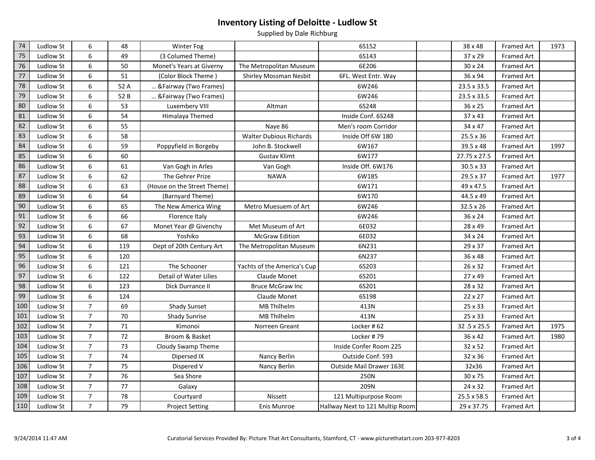| 74  | <b>Ludlow St</b> | 6                | 48   | Winter Fog                  |                                | 6S152                           | 38 x 48      | <b>Framed Art</b> | 1973 |
|-----|------------------|------------------|------|-----------------------------|--------------------------------|---------------------------------|--------------|-------------------|------|
| 75  | Ludlow St        | 6                | 49   | (3 Columed Theme)           |                                | 6S143                           | 37 x 29      | Framed Art        |      |
| 76  | Ludlow St        | 6                | 50   | Monet's Years at Giverny    | The Metropolitan Museum        | 6E206                           | 30 x 24      | <b>Framed Art</b> |      |
| 77  | <b>Ludlow St</b> | $\boldsymbol{6}$ | 51   | (Color Block Theme)         | <b>Shirley Mossman Nesbit</b>  | 6FL. West Entr. Way             | 36 x 94      | Framed Art        |      |
| 78  | Ludlow St        | $\boldsymbol{6}$ | 52 A | &Fairway (Two Frames)       |                                | 6W246                           | 23.5 x 33.5  | Framed Art        |      |
| 79  | <b>Ludlow St</b> | $\boldsymbol{6}$ | 52B  | & Fairway (Two Frames)      |                                | 6W246                           | 23.5 x 33.5  | Framed Art        |      |
| 80  | Ludlow St        | $\boldsymbol{6}$ | 53   | Luxembery VIII              | Altman                         | 6S248                           | 36 x 25      | Framed Art        |      |
| 81  | Ludlow St        | $\sqrt{6}$       | 54   | Himalaya Themed             |                                | Inside Conf. 6S248              | 37 x 43      | Framed Art        |      |
| 82  | Ludlow St        | $\,6\,$          | 55   |                             | Naye 86                        | Men's room Corridor             | 34 x 47      | Framed Art        |      |
| 83  | Ludlow St        | $\sqrt{6}$       | 58   |                             | <b>Walter Dubious Richards</b> | Inside Off 6W 180               | 25.5 x 36    | Framed Art        |      |
| 84  | Ludlow St        | $\boldsymbol{6}$ | 59   | Poppyfield in Borgeby       | John B. Stockwell              | 6W167                           | 39.5 x 48    | Framed Art        | 1997 |
| 85  | Ludlow St        | 6                | 60   |                             | <b>Gustav Klimt</b>            | 6W177                           | 27.75 x 27.5 | Framed Art        |      |
| 86  | Ludlow St        | 6                | 61   | Van Gogh in Arles           | Van Gogh                       | Inside Off. 6W176               | 30.5 x 33    | <b>Framed Art</b> |      |
| 87  | <b>Ludlow St</b> | 6                | 62   | The Gehrer Prize            | <b>NAWA</b>                    | 6W185                           | 29.5 x 37    | Framed Art        | 1977 |
| 88  | Ludlow St        | 6                | 63   | (House on the Street Theme) |                                | 6W171                           | 49 x 47.5    | Framed Art        |      |
| 89  | Ludlow St        | 6                | 64   | (Barnyard Theme)            |                                | 6W170                           | 44.5 x 49    | Framed Art        |      |
| 90  | Ludlow St        | 6                | 65   | The New America Wing        | Metro Muesuem of Art           | 6W246                           | 32.5 x 26    | Framed Art        |      |
| 91  | Ludlow St        | 6                | 66   | Florence Italy              |                                | 6W246                           | 36 x 24      | Framed Art        |      |
| 92  | Ludlow St        | 6                | 67   | Monet Year @ Givenchy       | Met Museum of Art              | 6E032                           | 28 x 49      | <b>Framed Art</b> |      |
| 93  | Ludlow St        | 6                | 68   | Yoshiko                     | <b>McGraw Edition</b>          | 6E032                           | 34 x 24      | <b>Framed Art</b> |      |
| 94  | Ludlow St        | 6                | 119  | Dept of 20th Century Art    | The Metropolitan Museum        | 6N231                           | 29 x 37      | <b>Framed Art</b> |      |
| 95  | Ludlow St        | 6                | 120  |                             |                                | 6N237                           | 36 x 48      | <b>Framed Art</b> |      |
| 96  | Ludlow St        | 6                | 121  | The Schooner                | Yachts of the America's Cup    | 6S203                           | 26 x 32      | <b>Framed Art</b> |      |
| 97  | <b>Ludlow St</b> | $\boldsymbol{6}$ | 122  | Detail of Water Lilies      | Claude Monet                   | 6S201                           | 27 x 49      | <b>Framed Art</b> |      |
| 98  | Ludlow St        | $\boldsymbol{6}$ | 123  | Dick Durrance II            | <b>Bruce McGraw Inc</b>        | 6S201                           | 28 x 32      | <b>Framed Art</b> |      |
| 99  | Ludlow St        | 6                | 124  |                             | Claude Monet                   | 6S198                           | 22 x 27      | <b>Framed Art</b> |      |
| 100 | <b>Ludlow St</b> | $\overline{7}$   | 69   | <b>Shady Sunset</b>         | MB Thilhelm                    | 413N                            | 25 x 33      | <b>Framed Art</b> |      |
| 101 | Ludlow St        | $\overline{7}$   | 70   | <b>Shady Sunrise</b>        | MB Thilhelm                    | 413N                            | 25 x 33      | <b>Framed Art</b> |      |
| 102 | Ludlow St        | $\overline{7}$   | 71   | Kimonoi                     | Norreen Greant                 | Locker #62                      | 32.5 x 25.5  | <b>Framed Art</b> | 1975 |
| 103 | Ludlow St        | $\overline{7}$   | 72   | Broom & Basket              |                                | Locker #79                      | 36 x 42      | <b>Framed Art</b> | 1980 |
| 104 | Ludlow St        | $\overline{7}$   | 73   | Cloudy Swamp Theme          |                                | Inside Confer Room 225          | 32 x 52      | <b>Framed Art</b> |      |
| 105 | Ludlow St        | $\overline{7}$   | 74   | Dipersed IX                 | Nancy Berlin                   | Outside Conf. 593               | 32 x 36      | <b>Framed Art</b> |      |
| 106 | Ludlow St        | $\overline{7}$   | 75   | Dispered V                  | Nancy Berlin                   | Outside Mail Drawer 163E        | 32x36        | <b>Framed Art</b> |      |
| 107 | Ludlow St        | $\overline{7}$   | 76   | Sea Shore                   |                                | 250N                            | 30 x 75      | <b>Framed Art</b> |      |
| 108 | Ludlow St        | $\overline{7}$   | 77   | Galaxy                      |                                | 209N                            | 24 x 32      | <b>Framed Art</b> |      |
| 109 | Ludlow St        | $\overline{7}$   | 78   | Courtyard                   | Nissett                        | 121 Multipurpose Room           | 25.5 x 58.5  | <b>Framed Art</b> |      |
| 110 | <b>Ludlow St</b> | $\overline{7}$   | 79   | <b>Project Setting</b>      | Enis Munroe                    | Hallway Next to 121 Multip Room | 29 x 37.75   | Framed Art        |      |